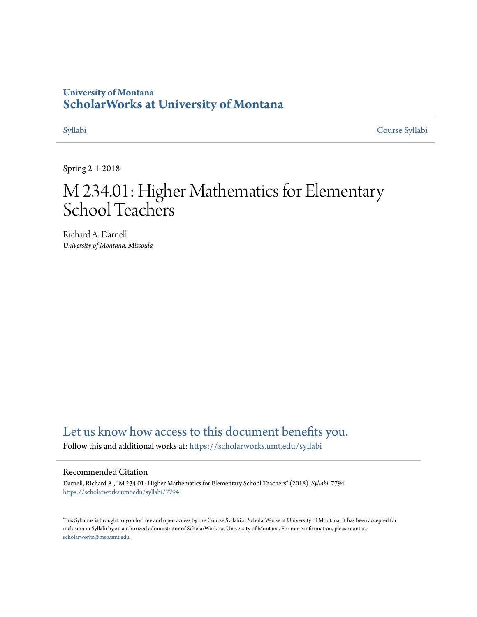# **University of Montana [ScholarWorks at University of Montana](https://scholarworks.umt.edu?utm_source=scholarworks.umt.edu%2Fsyllabi%2F7794&utm_medium=PDF&utm_campaign=PDFCoverPages)**

[Syllabi](https://scholarworks.umt.edu/syllabi?utm_source=scholarworks.umt.edu%2Fsyllabi%2F7794&utm_medium=PDF&utm_campaign=PDFCoverPages) [Course Syllabi](https://scholarworks.umt.edu/course_syllabi?utm_source=scholarworks.umt.edu%2Fsyllabi%2F7794&utm_medium=PDF&utm_campaign=PDFCoverPages)

Spring 2-1-2018

# M 234.01: Higher Mathematics for Elementary School Teachers

Richard A. Darnell *University of Montana, Missoula*

# [Let us know how access to this document benefits you.](https://goo.gl/forms/s2rGfXOLzz71qgsB2)

Follow this and additional works at: [https://scholarworks.umt.edu/syllabi](https://scholarworks.umt.edu/syllabi?utm_source=scholarworks.umt.edu%2Fsyllabi%2F7794&utm_medium=PDF&utm_campaign=PDFCoverPages)

#### Recommended Citation

Darnell, Richard A., "M 234.01: Higher Mathematics for Elementary School Teachers" (2018). *Syllabi*. 7794. [https://scholarworks.umt.edu/syllabi/7794](https://scholarworks.umt.edu/syllabi/7794?utm_source=scholarworks.umt.edu%2Fsyllabi%2F7794&utm_medium=PDF&utm_campaign=PDFCoverPages)

This Syllabus is brought to you for free and open access by the Course Syllabi at ScholarWorks at University of Montana. It has been accepted for inclusion in Syllabi by an authorized administrator of ScholarWorks at University of Montana. For more information, please contact [scholarworks@mso.umt.edu](mailto:scholarworks@mso.umt.edu).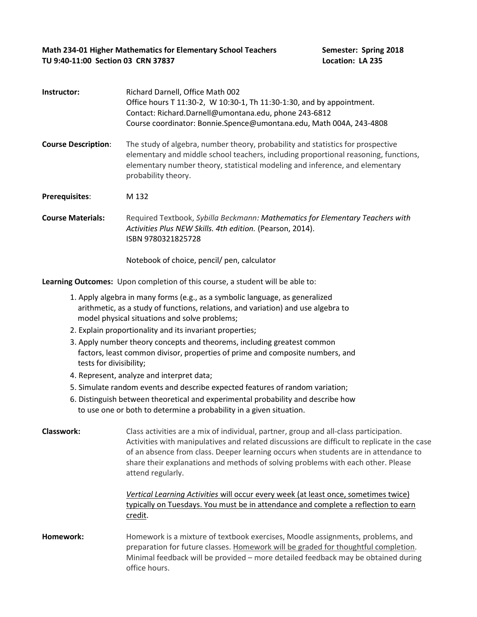Math 234-01 Higher Mathematics for Elementary School Teachers Semester: Spring 2018 TU 9:40-11:00 Section 03 CRN 37837 Location: LA 235

| Instructor:                | Richard Darnell, Office Math 002<br>Office hours T 11:30-2, W 10:30-1, Th 11:30-1:30, and by appointment.<br>Contact: Richard.Darnell@umontana.edu, phone 243-6812<br>Course coordinator: Bonnie.Spence@umontana.edu, Math 004A, 243-4808                                                                                                                                             |  |  |  |
|----------------------------|---------------------------------------------------------------------------------------------------------------------------------------------------------------------------------------------------------------------------------------------------------------------------------------------------------------------------------------------------------------------------------------|--|--|--|
| <b>Course Description:</b> | The study of algebra, number theory, probability and statistics for prospective<br>elementary and middle school teachers, including proportional reasoning, functions,<br>elementary number theory, statistical modeling and inference, and elementary<br>probability theory.                                                                                                         |  |  |  |
| Prerequisites:             | M 132                                                                                                                                                                                                                                                                                                                                                                                 |  |  |  |
| <b>Course Materials:</b>   | Required Textbook, Sybilla Beckmann: Mathematics for Elementary Teachers with<br>Activities Plus NEW Skills. 4th edition. (Pearson, 2014).<br>ISBN 9780321825728                                                                                                                                                                                                                      |  |  |  |
|                            | Notebook of choice, pencil/ pen, calculator                                                                                                                                                                                                                                                                                                                                           |  |  |  |
|                            | Learning Outcomes: Upon completion of this course, a student will be able to:                                                                                                                                                                                                                                                                                                         |  |  |  |
|                            | 1. Apply algebra in many forms (e.g., as a symbolic language, as generalized<br>arithmetic, as a study of functions, relations, and variation) and use algebra to<br>model physical situations and solve problems;                                                                                                                                                                    |  |  |  |
|                            | 2. Explain proportionality and its invariant properties;                                                                                                                                                                                                                                                                                                                              |  |  |  |
| tests for divisibility;    | 3. Apply number theory concepts and theorems, including greatest common<br>factors, least common divisor, properties of prime and composite numbers, and                                                                                                                                                                                                                              |  |  |  |
|                            | 4. Represent, analyze and interpret data;                                                                                                                                                                                                                                                                                                                                             |  |  |  |
|                            | 5. Simulate random events and describe expected features of random variation;                                                                                                                                                                                                                                                                                                         |  |  |  |
|                            | 6. Distinguish between theoretical and experimental probability and describe how<br>to use one or both to determine a probability in a given situation.                                                                                                                                                                                                                               |  |  |  |
| <b>Classwork:</b>          | Class activities are a mix of individual, partner, group and all-class participation.<br>Activities with manipulatives and related discussions are difficult to replicate in the case<br>of an absence from class. Deeper learning occurs when students are in attendance to<br>share their explanations and methods of solving problems with each other. Please<br>attend regularly. |  |  |  |
|                            | Vertical Learning Activities will occur every week (at least once, sometimes twice)<br>typically on Tuesdays. You must be in attendance and complete a reflection to earn<br>credit.                                                                                                                                                                                                  |  |  |  |
| Homework:                  | Homework is a mixture of textbook exercises, Moodle assignments, problems, and<br>preparation for future classes. Homework will be graded for thoughtful completion.<br>Minimal feedback will be provided - more detailed feedback may be obtained during<br>office hours.                                                                                                            |  |  |  |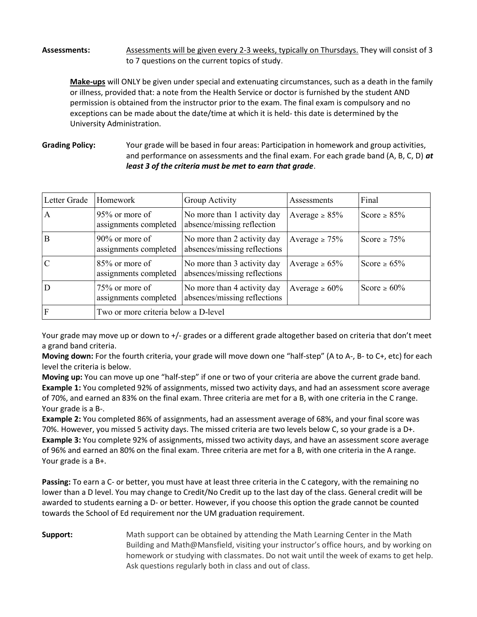### Assessments: Assessments will be given every 2-3 weeks, typically on Thursdays. They will consist of 3 to 7 questions on the current topics of study.

Make-ups will ONLY be given under special and extenuating circumstances, such as a death in the family or illness, provided that: a note from the Health Service or doctor is furnished by the student AND permission is obtained from the instructor prior to the exam. The final exam is compulsory and no exceptions can be made about the date/time at which it is held- this date is determined by the University Administration.

**Grading Policy:** and performance on assessments and the final exam. For each grade band (A, B, C, D) at least 3 of the criteria must be met to earn that grade. Your grade will be based in four areas: Participation in homework and group activities,

| Letter Grade  | Homework                                   | Group Activity                                              | Assessments         | Final             |
|---------------|--------------------------------------------|-------------------------------------------------------------|---------------------|-------------------|
| $\mathbf{A}$  | 95% or more of<br>assignments completed    | No more than 1 activity day<br>absence/missing reflection   | Average $\geq 85\%$ | Score $\geq 85\%$ |
| B             | $90\%$ or more of<br>assignments completed | No more than 2 activity day<br>absences/missing reflections | Average $\geq 75\%$ | Score $\geq 75\%$ |
| $\mathcal{C}$ | $85\%$ or more of<br>assignments completed | No more than 3 activity day<br>absences/missing reflections | Average $\geq 65\%$ | Score $\geq 65\%$ |
| D             | 75% or more of<br>assignments completed    | No more than 4 activity day<br>absences/missing reflections | Average $\geq 60\%$ | Score $\geq 60\%$ |
| <sup>F</sup>  | Two or more criteria below a D-level       |                                                             |                     |                   |

 Your grade may move up or down to +/- grades or a different grade altogether based on criteria that don't meet a grand band criteria.

Moving down: For the fourth criteria, your grade will move down one "half-step" (A to A-, B- to C+, etc) for each level the criteria is below.

Moving up: You can move up one "half-step" if one or two of your criteria are above the current grade band. Example 1: You completed 92% of assignments, missed two activity days, and had an assessment score average of 70%, and earned an 83% on the final exam. Three criteria are met for a B, with one criteria in the C range. Your grade is a B-.

Example 2: You completed 86% of assignments, had an assessment average of 68%, and your final score was 70%. However, you missed 5 activity days. The missed criteria are two levels below C, so your grade is a D+. Example 3: You complete 92% of assignments, missed two activity days, and have an assessment score average of 96% and earned an 80% on the final exam. Three criteria are met for a B, with one criteria in the A range. Your grade is a B+.

Passing: To earn a C- or better, you must have at least three criteria in the C category, with the remaining no lower than a D level. You may change to Credit/No Credit up to the last day of the class. General credit will be awarded to students earning a D- or better. However, if you choose this option the grade cannot be counted towards the School of Ed requirement nor the UM graduation requirement.

**Support:** Math support can be obtained by attending the Math Learning Center in the Math Building and Math@Mansfield, visiting your instructor's office hours, and by working on homework or studying with classmates. Do not wait until the week of exams to get help. Ask questions regularly both in class and out of class.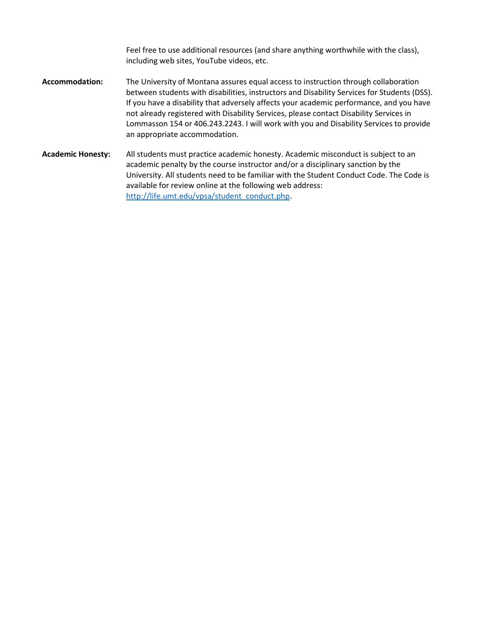Feel free to use additional resources (and share anything worthwhile with the class), including web sites, YouTube videos, etc.

- Accommodation: The University of Montana assures equal access to instruction through collaboration between students with disabilities, instructors and Disability Services for Students (DSS). If you have a disability that adversely affects your academic performance, and you have not already registered with Disability Services, please contact Disability Services in Lommasson 154 or 406.243.2243. I will work with you and Disability Services to provide an appropriate accommodation.
- Academic Honesty: All students must practice academic honesty. Academic misconduct is subject to an academic penalty by the course instructor and/or a disciplinary sanction by the University. All students need to be familiar with the Student Conduct Code. The Code is available for review online at the following web address: http://life.umt.edu/vpsa/student\_conduct.php.